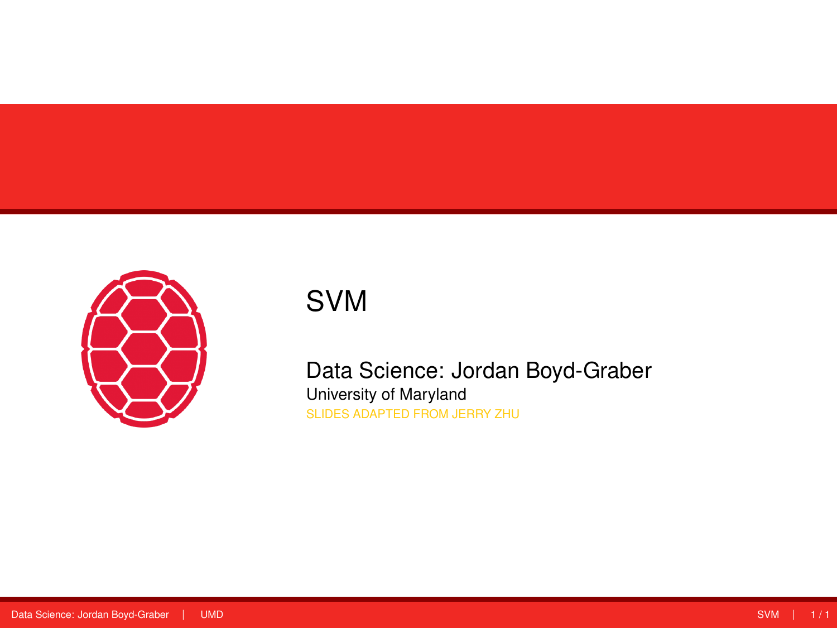<span id="page-0-0"></span>

# SVM

Data Science: Jordan Boyd-Graber University of Maryland SLIDES ADAPTED FROM JERRY ZHU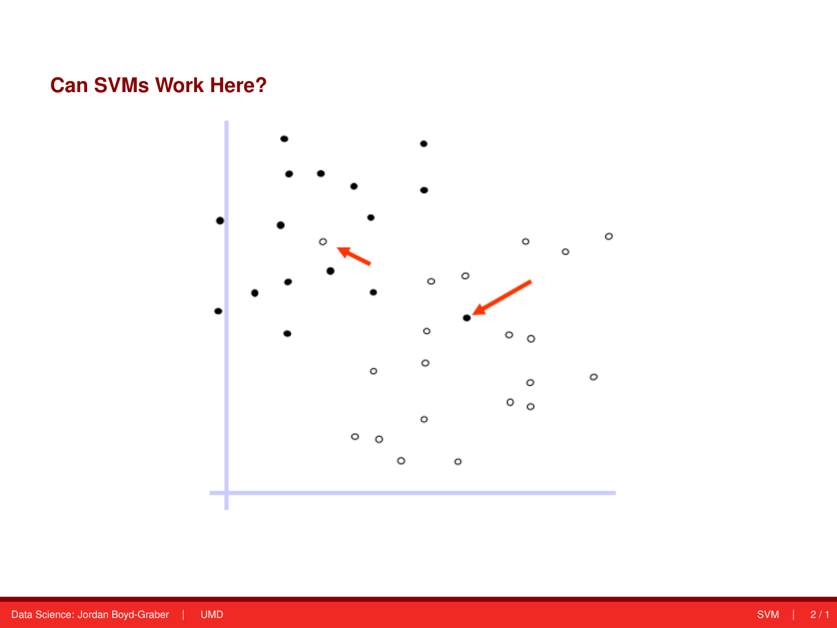# **Can SVMs Work Here?**

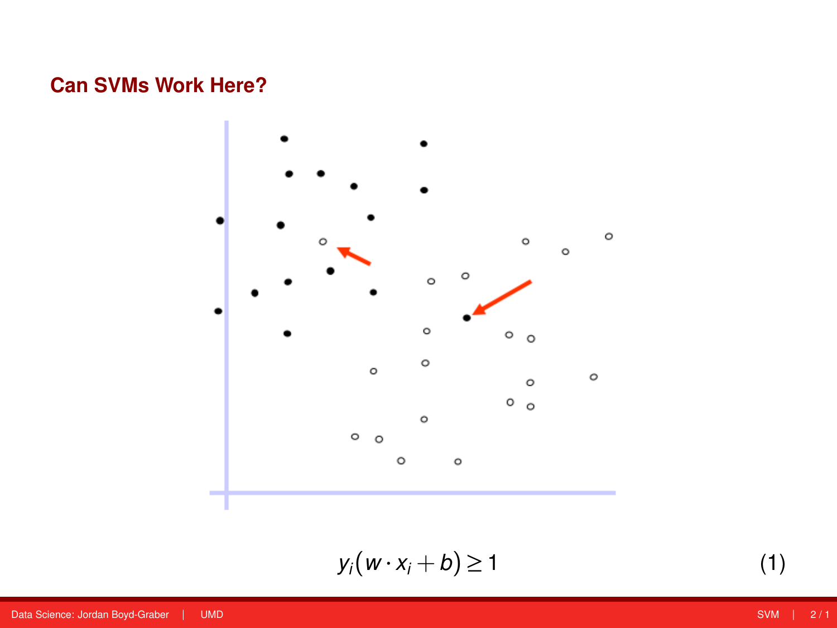# **Can SVMs Work Here?**



$$
y_i(w \cdot x_i + b) \ge 1 \tag{1}
$$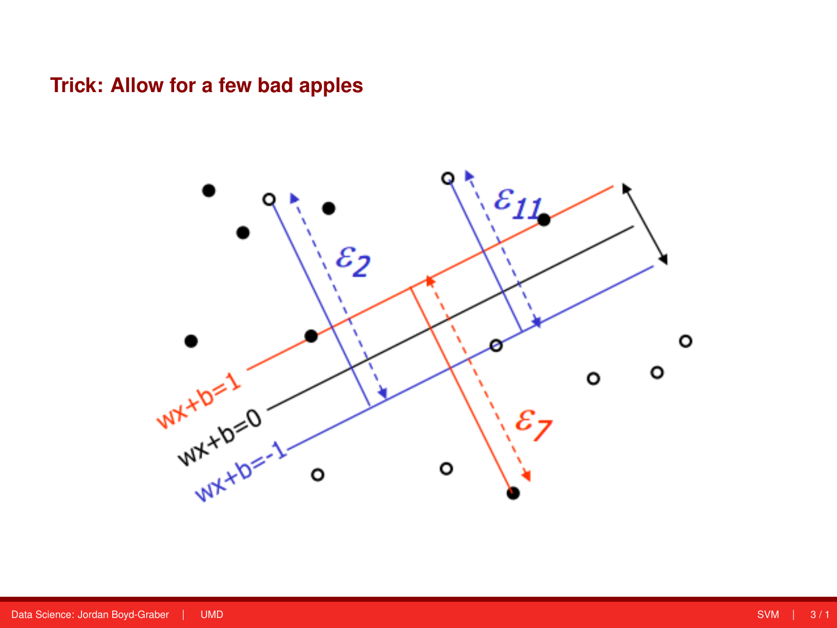### **Trick: Allow for a few bad apples**

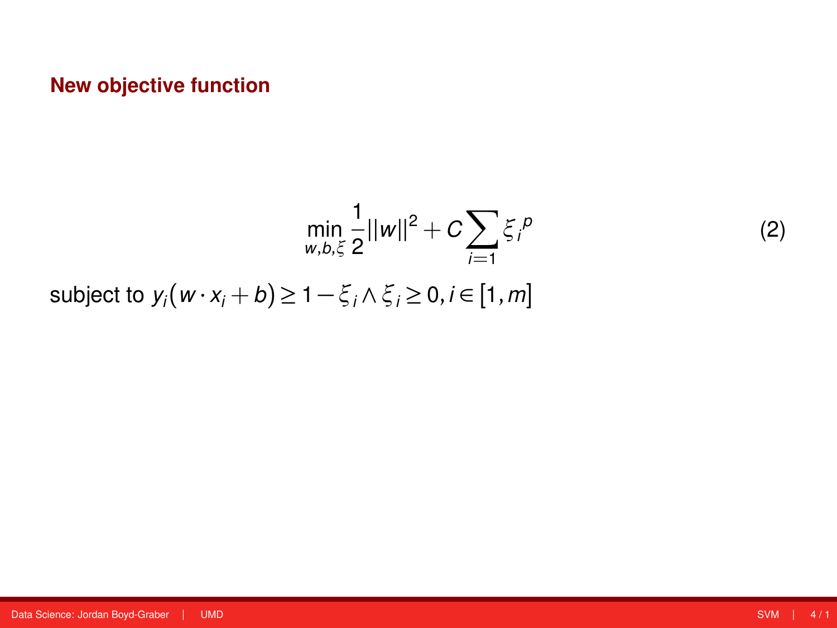$$
\min_{w,b,\xi} \frac{1}{2} ||w||^2 + C \sum_{i=1} \xi_i^p
$$
  
subject to  $y_i(w \cdot x_i + b) \ge 1 - \xi_i \wedge \xi_i \ge 0, i \in [1, m]$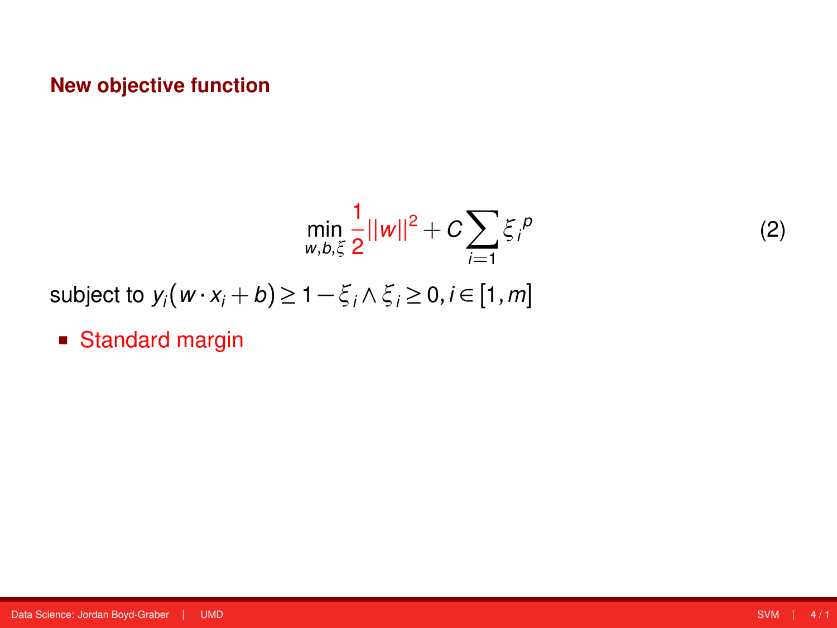$$
\min_{w,b,\xi} \frac{1}{2} ||w||^2 + C \sum_{i=1} \xi_i^p
$$

subject to  $y_i(w \cdot x_i + b) \ge 1 - \xi_i \wedge \xi_i \ge 0, i \in [1, m]$ 

■ Standard margin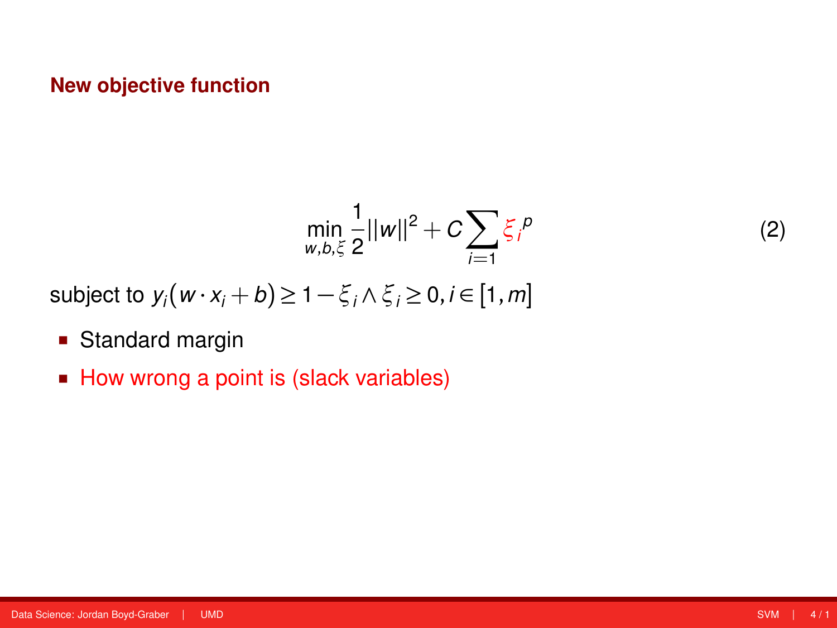$$
\min_{w,b,\xi} \frac{1}{2} ||w||^2 + C \sum_{i=1} \xi_i^{\,p}
$$

subject to  $y_i(w \cdot x_i + b) \ge 1 - \xi_i \wedge \xi_i \ge 0, i \in [1, m]$ 

- **Standard margin**
- How wrong a point is (slack variables)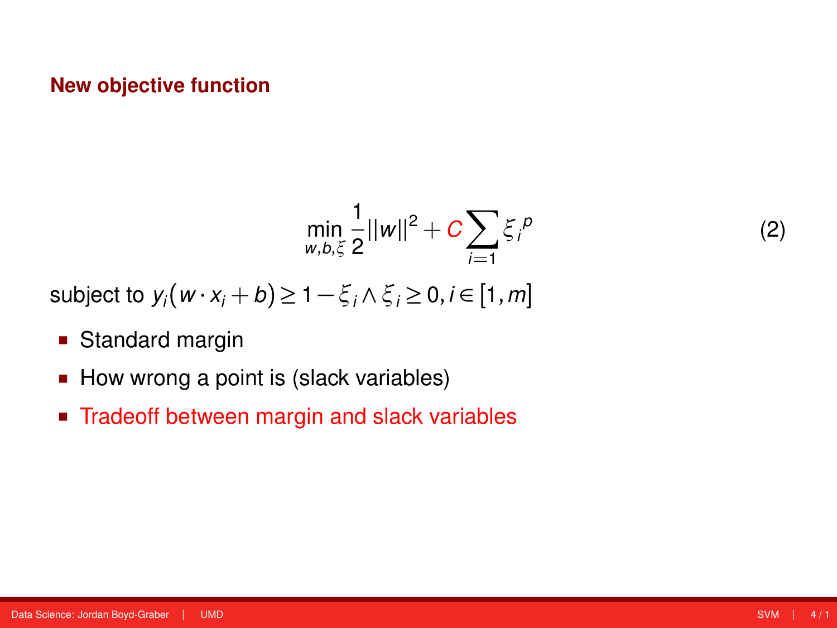$$
\min_{w,b,\xi} \frac{1}{2} ||w||^2 + C \sum_{i=1} \xi_i^{\,p}
$$

subject to  $y_i(w \cdot x_i + b) \ge 1 - \xi_i \wedge \xi_i \ge 0, i \in [1, m]$ 

- **Standard margin**
- How wrong a point is (slack variables)
- Tradeoff between margin and slack variables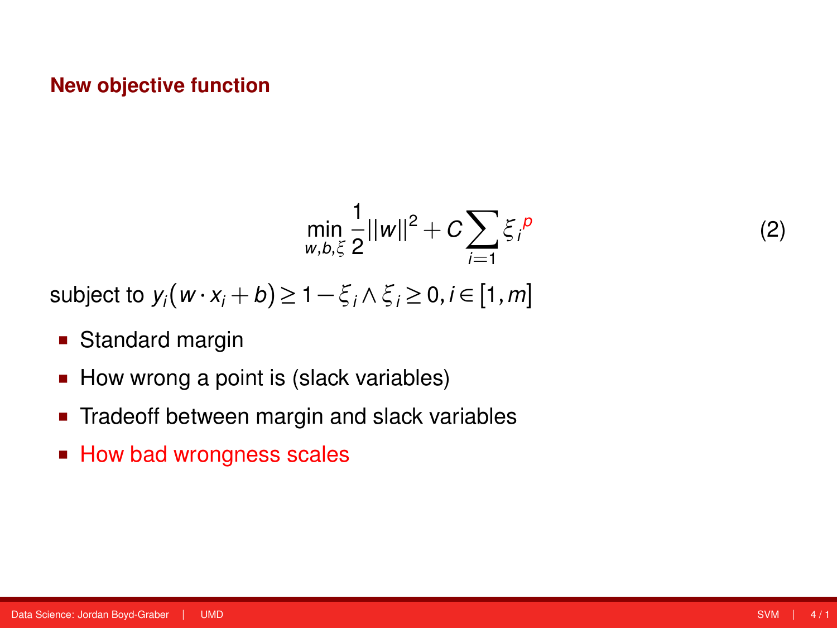$$
\min_{w,b,\xi} \frac{1}{2} ||w||^2 + C \sum_{i=1} \xi_i^b
$$

subject to  $y_i(w \cdot x_i + b) \ge 1 - \xi_i \wedge \xi_i \ge 0, i \in [1, m]$ 

- **Standard margin**
- How wrong a point is (slack variables)
- Tradeoff between margin and slack variables
- How bad wrongness scales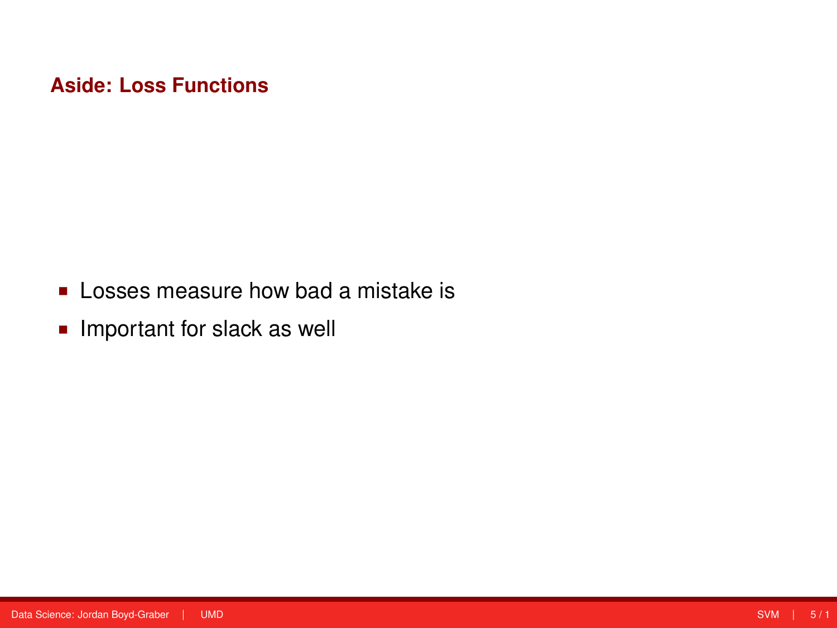- **Losses measure how bad a mistake is**
- **Important for slack as well**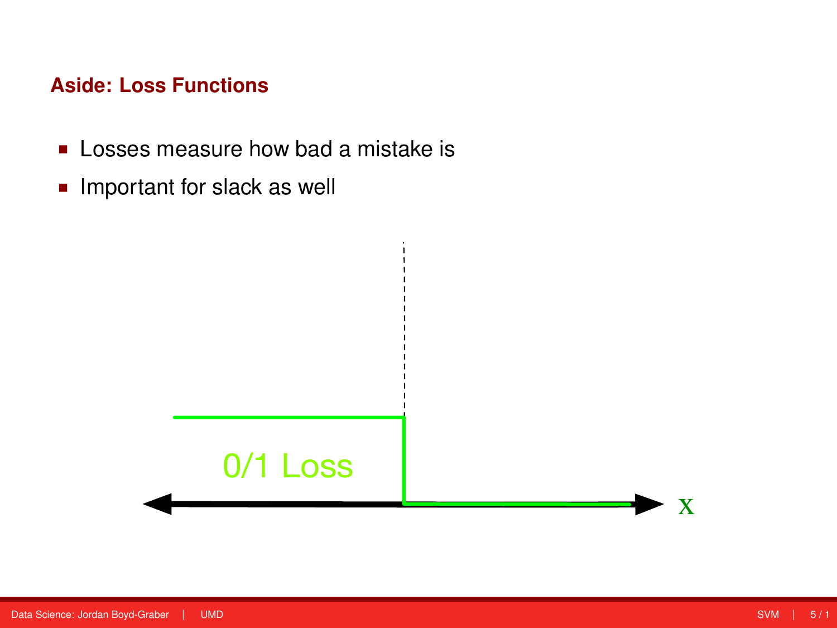- **Losses measure how bad a mistake is**
- **Important for slack as well**

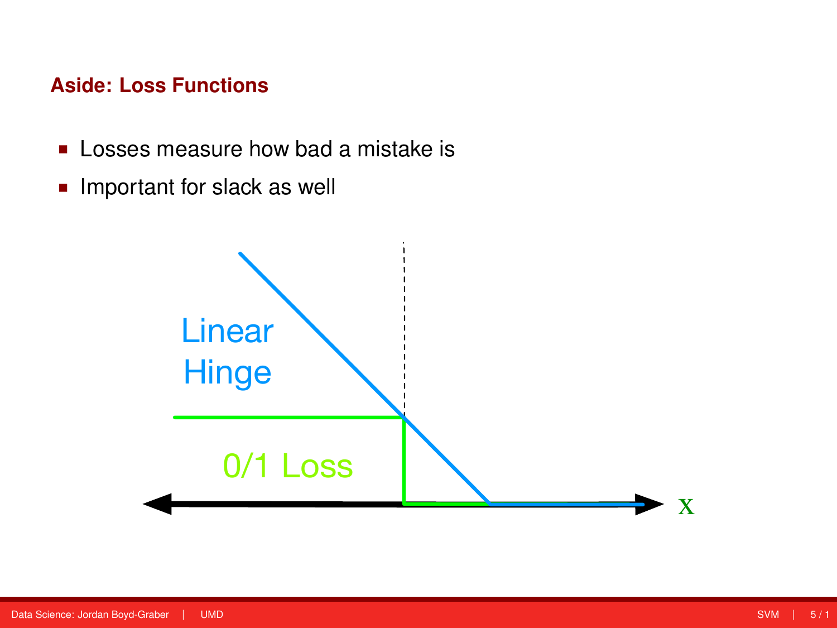- **Losses measure how bad a mistake is**
- **Important for slack as well**

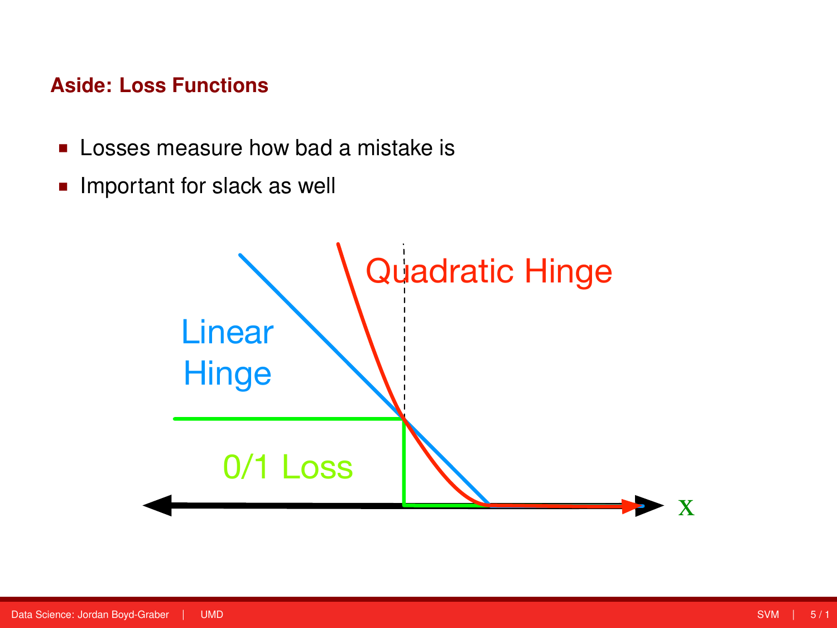- **Losses measure how bad a mistake is**
- **Important for slack as well**

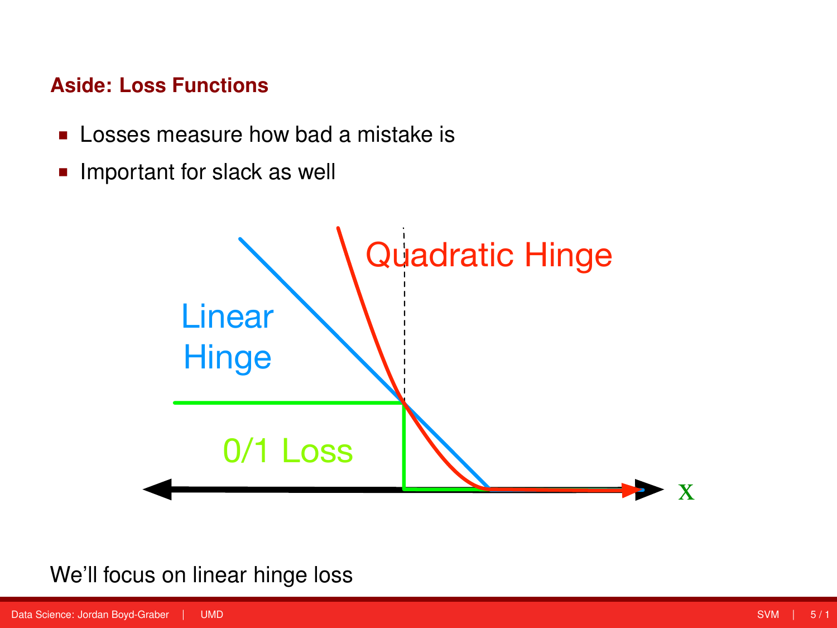- **Losses measure how bad a mistake is**
- **Important for slack as well**



## We'll focus on linear hinge loss